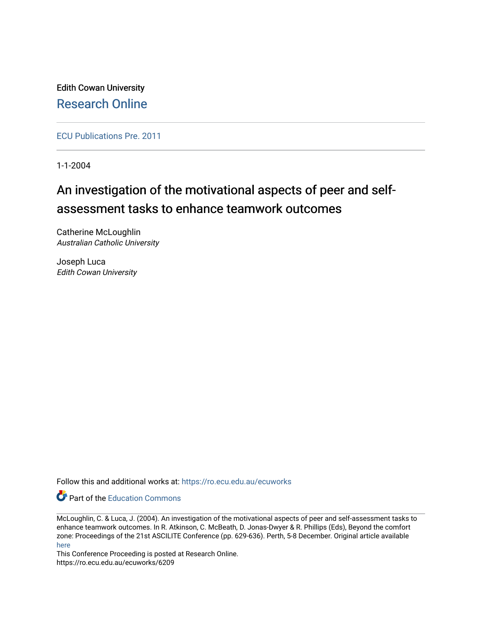Edith Cowan University [Research Online](https://ro.ecu.edu.au/) 

[ECU Publications Pre. 2011](https://ro.ecu.edu.au/ecuworks)

1-1-2004

# An investigation of the motivational aspects of peer and selfassessment tasks to enhance teamwork outcomes

Catherine McLoughlin Australian Catholic University

Joseph Luca Edith Cowan University

Follow this and additional works at: [https://ro.ecu.edu.au/ecuworks](https://ro.ecu.edu.au/ecuworks?utm_source=ro.ecu.edu.au%2Fecuworks%2F6209&utm_medium=PDF&utm_campaign=PDFCoverPages) 

**C** Part of the [Education Commons](http://network.bepress.com/hgg/discipline/784?utm_source=ro.ecu.edu.au%2Fecuworks%2F6209&utm_medium=PDF&utm_campaign=PDFCoverPages)

McLoughlin, C. & Luca, J. (2004). An investigation of the motivational aspects of peer and self-assessment tasks to enhance teamwork outcomes. In R. Atkinson, C. McBeath, D. Jonas-Dwyer & R. Phillips (Eds), Beyond the comfort zone: Proceedings of the 21st ASCILITE Conference (pp. 629-636). Perth, 5-8 December. Original article available [here](http://www.ascilite.org/conferences/perth04/procs/contents.html)

This Conference Proceeding is posted at Research Online. https://ro.ecu.edu.au/ecuworks/6209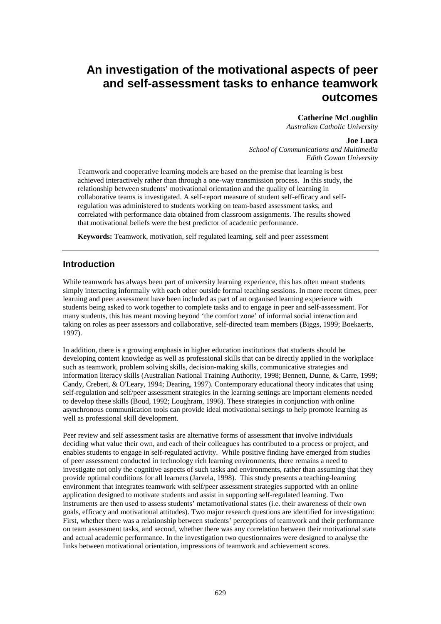# **An investigation of the motivational aspects of peer and self-assessment tasks to enhance teamwork outcomes**

#### **Catherine McLoughlin**

*Australian Catholic University* 

#### **Joe Luca**

*School of Communications and Multimedia Edith Cowan University* 

Teamwork and cooperative learning models are based on the premise that learning is best achieved interactively rather than through a one-way transmission process. In this study, the relationship between students' motivational orientation and the quality of learning in collaborative teams is investigated. A self-report measure of student self-efficacy and selfregulation was administered to students working on team-based assessment tasks, and correlated with performance data obtained from classroom assignments. The results showed that motivational beliefs were the best predictor of academic performance.

**Keywords:** Teamwork, motivation, self regulated learning, self and peer assessment

#### **Introduction**

While teamwork has always been part of university learning experience, this has often meant students simply interacting informally with each other outside formal teaching sessions. In more recent times, peer learning and peer assessment have been included as part of an organised learning experience with students being asked to work together to complete tasks and to engage in peer and self-assessment. For many students, this has meant moving beyond 'the comfort zone' of informal social interaction and taking on roles as peer assessors and collaborative, self-directed team members (Biggs, 1999; Boekaerts, 1997).

In addition, there is a growing emphasis in higher education institutions that students should be developing content knowledge as well as professional skills that can be directly applied in the workplace such as teamwork, problem solving skills, decision-making skills, communicative strategies and information literacy skills (Australian National Training Authority, 1998; Bennett, Dunne, & Carre, 1999; Candy, Crebert, & O'Leary, 1994; Dearing, 1997). Contemporary educational theory indicates that using self-regulation and self/peer assessment strategies in the learning settings are important elements needed to develop these skills (Boud, 1992; Loughram, 1996). These strategies in conjunction with online asynchronous communication tools can provide ideal motivational settings to help promote learning as well as professional skill development.

Peer review and self assessment tasks are alternative forms of assessment that involve individuals deciding what value their own, and each of their colleagues has contributed to a process or project, and enables students to engage in self-regulated activity. While positive finding have emerged from studies of peer assessment conducted in technology rich learning environments, there remains a need to investigate not only the cognitive aspects of such tasks and environments, rather than assuming that they provide optimal conditions for all learners (Jarvela, 1998). This study presents a teaching-learning environment that integrates teamwork with self/peer assessment strategies supported with an online application designed to motivate students and assist in supporting self-regulated learning. Two instruments are then used to assess students' metamotivational states (i.e. their awareness of their own goals, efficacy and motivational attitudes). Two major research questions are identified for investigation: First, whether there was a relationship between students' perceptions of teamwork and their performance on team assessment tasks, and second, whether there was any correlation between their motivational state and actual academic performance. In the investigation two questionnaires were designed to analyse the links between motivational orientation, impressions of teamwork and achievement scores.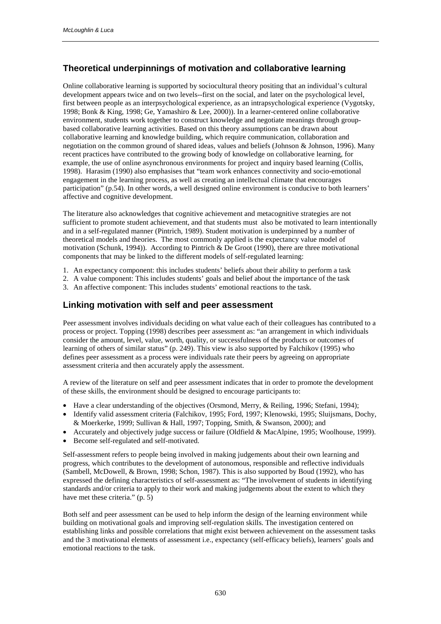## **Theoretical underpinnings of motivation and collaborative learning**

Online collaborative learning is supported by sociocultural theory positing that an individual's cultural development appears twice and on two levels--first on the social, and later on the psychological level, first between people as an interpsychological experience, as an intrapsychological experience (Vygotsky, 1998; Bonk & King, 1998; Ge, Yamashiro & Lee, 2000)). In a learner-centered online collaborative environment, students work together to construct knowledge and negotiate meanings through groupbased collaborative learning activities. Based on this theory assumptions can be drawn about collaborative learning and knowledge building, which require communication, collaboration and negotiation on the common ground of shared ideas, values and beliefs (Johnson & Johnson, 1996). Many recent practices have contributed to the growing body of knowledge on collaborative learning, for example, the use of online asynchronous environments for project and inquiry based learning (Collis, 1998). Harasim (1990) also emphasises that "team work enhances connectivity and socio-emotional engagement in the learning process, as well as creating an intellectual climate that encourages participation" (p.54). In other words, a well designed online environment is conducive to both learners' affective and cognitive development.

The literature also acknowledges that cognitive achievement and metacognitive strategies are not sufficient to promote student achievement, and that students must also be motivated to learn intentionally and in a self-regulated manner (Pintrich, 1989). Student motivation is underpinned by a number of theoretical models and theories. The most commonly applied is the expectancy value model of motivation (Schunk, 1994)). According to Pintrich & De Groot (1990), there are three motivational components that may be linked to the different models of self-regulated learning:

- 1. An expectancy component: this includes students' beliefs about their ability to perform a task
- 2. A value component: This includes students' goals and belief about the importance of the task
- 3. An affective component: This includes students' emotional reactions to the task.

### **Linking motivation with self and peer assessment**

Peer assessment involves individuals deciding on what value each of their colleagues has contributed to a process or project. Topping (1998) describes peer assessment as: "an arrangement in which individuals consider the amount, level, value, worth, quality, or successfulness of the products or outcomes of learning of others of similar status" (p. 249). This view is also supported by Falchikov (1995) who defines peer assessment as a process were individuals rate their peers by agreeing on appropriate assessment criteria and then accurately apply the assessment.

A review of the literature on self and peer assessment indicates that in order to promote the development of these skills, the environment should be designed to encourage participants to:

- Have a clear understanding of the objectives (Orsmond, Merry, & Reiling, 1996; Stefani, 1994);
- Identify valid assessment criteria (Falchikov, 1995; Ford, 1997; Klenowski, 1995; Sluijsmans, Dochy, & Moerkerke, 1999; Sullivan & Hall, 1997; Topping, Smith, & Swanson, 2000); and
- Accurately and objectively judge success or failure (Oldfield & MacAlpine, 1995; Woolhouse, 1999).
- Become self-regulated and self-motivated.

Self-assessment refers to people being involved in making judgements about their own learning and progress, which contributes to the development of autonomous, responsible and reflective individuals (Sambell, McDowell, & Brown, 1998; Schon, 1987). This is also supported by Boud (1992), who has expressed the defining characteristics of self-assessment as: "The involvement of students in identifying standards and/or criteria to apply to their work and making judgements about the extent to which they have met these criteria." (p. 5)

Both self and peer assessment can be used to help inform the design of the learning environment while building on motivational goals and improving self-regulation skills. The investigation centered on establishing links and possible correlations that might exist between achievement on the assessment tasks and the 3 motivational elements of assessment i.e., expectancy (self-efficacy beliefs), learners' goals and emotional reactions to the task.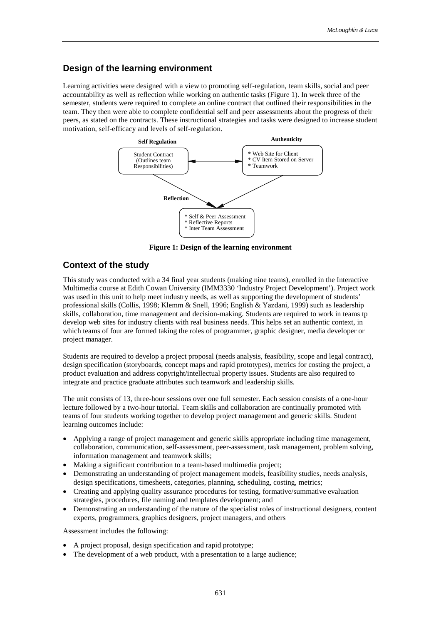### **Design of the learning environment**

Learning activities were designed with a view to promoting self-regulation, team skills, social and peer accountability as well as reflection while working on authentic tasks (Figure 1). In week three of the semester, students were required to complete an online contract that outlined their responsibilities in the team. They then were able to complete confidential self and peer assessments about the progress of their peers, as stated on the contracts. These instructional strategies and tasks were designed to increase student motivation, self-efficacy and levels of self-regulation.



**Figure 1: Design of the learning environment** 

#### **Context of the study**

This study was conducted with a 34 final year students (making nine teams), enrolled in the Interactive Multimedia course at Edith Cowan University (IMM3330 'Industry Project Development'). Project work was used in this unit to help meet industry needs, as well as supporting the development of students' professional skills (Collis, 1998; Klemm & Snell, 1996; English & Yazdani, 1999) such as leadership skills, collaboration, time management and decision-making. Students are required to work in teams tp develop web sites for industry clients with real business needs. This helps set an authentic context, in which teams of four are formed taking the roles of programmer, graphic designer, media developer or project manager.

Students are required to develop a project proposal (needs analysis, feasibility, scope and legal contract), design specification (storyboards, concept maps and rapid prototypes), metrics for costing the project, a product evaluation and address copyright/intellectual property issues. Students are also required to integrate and practice graduate attributes such teamwork and leadership skills.

The unit consists of 13, three-hour sessions over one full semester. Each session consists of a one-hour lecture followed by a two-hour tutorial. Team skills and collaboration are continually promoted with teams of four students working together to develop project management and generic skills. Student learning outcomes include:

- Applying a range of project management and generic skills appropriate including time management, collaboration, communication, self-assessment, peer-assessment, task management, problem solving, information management and teamwork skills;
- Making a significant contribution to a team-based multimedia project;
- Demonstrating an understanding of project management models, feasibility studies, needs analysis, design specifications, timesheets, categories, planning, scheduling, costing, metrics;
- Creating and applying quality assurance procedures for testing, formative/summative evaluation strategies, procedures, file naming and templates development; and
- Demonstrating an understanding of the nature of the specialist roles of instructional designers, content experts, programmers, graphics designers, project managers, and others

Assessment includes the following:

- A project proposal, design specification and rapid prototype;
- The development of a web product, with a presentation to a large audience;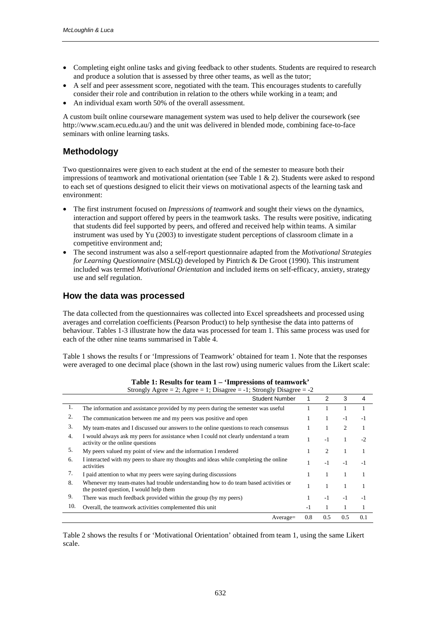- Completing eight online tasks and giving feedback to other students. Students are required to research and produce a solution that is assessed by three other teams, as well as the tutor;
- A self and peer assessment score, negotiated with the team. This encourages students to carefully consider their role and contribution in relation to the others while working in a team; and
- An individual exam worth 50% of the overall assessment.

A custom built online courseware management system was used to help deliver the coursework (see http://www.scam.ecu.edu.au/) and the unit was delivered in blended mode, combining face-to-face seminars with online learning tasks.

### **Methodology**

Two questionnaires were given to each student at the end of the semester to measure both their impressions of teamwork and motivational orientation (see Table 1  $\&$  2). Students were asked to respond to each set of questions designed to elicit their views on motivational aspects of the learning task and environment:

- The first instrument focused on *Impressions of teamwork* and sought their views on the dynamics, interaction and support offered by peers in the teamwork tasks. The results were positive, indicating that students did feel supported by peers, and offered and received help within teams. A similar instrument was used by Yu (2003) to investigate student perceptions of classroom climate in a competitive environment and;
- The second instrument was also a self-report questionnaire adapted from the *Motivational Strategies for Learning Questionnaire* (MSLQ) developed by Pintrich & De Groot (1990). This instrument included was termed *Motivational Orientation* and included items on self-efficacy, anxiety, strategy use and self regulation.

#### **How the data was processed**

The data collected from the questionnaires was collected into Excel spreadsheets and processed using averages and correlation coefficients (Pearson Product) to help synthesise the data into patterns of behaviour. Tables 1-3 illustrate how the data was processed for team 1. This same process was used for each of the other nine teams summarised in Table 4.

Table 1 shows the results f or 'Impressions of Teamwork' obtained for team 1. Note that the responses were averaged to one decimal place (shown in the last row) using numeric values from the Likert scale:

| Strongly Agree = 2; Agree = 1; Disagree = $-1$ ; Strongly Disagree = $-2$ |                                                                                                                               |     |                |      |      |
|---------------------------------------------------------------------------|-------------------------------------------------------------------------------------------------------------------------------|-----|----------------|------|------|
|                                                                           | <b>Student Number</b>                                                                                                         |     | 2              | 3    | 4    |
| 1.                                                                        | The information and assistance provided by my peers during the semester was useful                                            |     |                |      |      |
| 2.                                                                        | The communication between me and my peers was positive and open                                                               |     | 1              | $-1$ | -1   |
| 3.                                                                        | My team-mates and I discussed our answers to the online questions to reach consensus                                          |     |                | 2    |      |
| $\overline{4}$ .                                                          | I would always ask my peers for assistance when I could not clearly understand a team<br>activity or the online questions     |     | $-1$           | 1    | $-2$ |
| 5.                                                                        | My peers valued my point of view and the information I rendered                                                               |     | $\mathfrak{D}$ |      |      |
| 6.                                                                        | I interacted with my peers to share my thoughts and ideas while completing the online<br>activities                           |     | $-1$           | $-1$ | -1   |
| 7.                                                                        | I paid attention to what my peers were saying during discussions                                                              |     |                |      |      |
| 8.                                                                        | Whenever my team-mates had trouble understanding how to do team based activities or<br>the posted question, I would help them |     |                |      |      |
| 9.                                                                        | There was much feedback provided within the group (by my peers)                                                               |     | $-1$           | $-1$ | $-1$ |
| 10.                                                                       | Overall, the teamwork activities complemented this unit                                                                       | -1  |                |      |      |
|                                                                           | $Average =$                                                                                                                   | 0.8 | 0.5            | 0.5  | 0.1  |

**Table 1: Results for team 1 – 'Impressions of teamwork'** 

Table 2 shows the results f or 'Motivational Orientation' obtained from team 1, using the same Likert scale.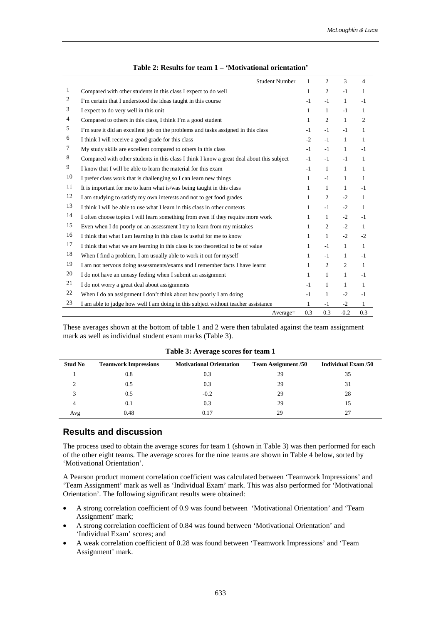|                | <b>Student Number</b>                                                                     | $\mathbf{1}$ | 2              | 3            | 4              |
|----------------|-------------------------------------------------------------------------------------------|--------------|----------------|--------------|----------------|
| $\mathbf{1}$   | Compared with other students in this class I expect to do well                            | $\mathbf{1}$ | $\overline{2}$ | $-1$         | $\mathbf{1}$   |
| $\overline{c}$ | I'm certain that I understood the ideas taught in this course                             | $-1$         | $-1$           | $\mathbf{1}$ | $-1$           |
| 3              | I expect to do very well in this unit                                                     | $\mathbf{1}$ | $\mathbf{1}$   | $-1$         | $\mathbf{1}$   |
| 4              | Compared to others in this class, I think I'm a good student                              | $\mathbf{1}$ | $\overline{2}$ | $\mathbf{1}$ | $\overline{c}$ |
| 5              | I'm sure it did an excellent job on the problems and tasks assigned in this class         | $-1$         | $-1$           | $-1$         | 1              |
| 6              | I think I will receive a good grade for this class                                        | $-2$         | $-1$           | $\mathbf{1}$ | $\mathbf{1}$   |
| 7              | My study skills are excellent compared to others in this class                            | $-1$         | $-1$           | $\mathbf{1}$ | $-1$           |
| 8              | Compared with other students in this class I think I know a great deal about this subject | $-1$         | $-1$           | $-1$         | 1              |
| 9              | I know that I will be able to learn the material for this exam                            | $-1$         | $\mathbf{1}$   | $\mathbf{1}$ | $\mathbf{1}$   |
| 10             | I prefer class work that is challenging so I can learn new things                         | $\mathbf{1}$ | $-1$           | $\mathbf{1}$ | 1              |
| 11             | It is important for me to learn what is/was being taught in this class                    | $\mathbf{1}$ | $\mathbf{1}$   | $\mathbf{1}$ | $-1$           |
| 12             | I am studying to satisfy my own interests and not to get food grades                      | $\mathbf{1}$ | $\overline{2}$ | $-2$         | $\mathbf{1}$   |
| 13             | I think I will be able to use what I learn in this class in other contexts                | $\mathbf{1}$ | $-1$           | $-2$         | $\mathbf{1}$   |
| 14             | I often choose topics I will learn something from even if they require more work          | $\mathbf{1}$ | $\mathbf{1}$   | $-2$         | $-1$           |
| 15             | Even when I do poorly on an assessment I try to learn from my mistakes                    | $\mathbf{1}$ | $\overline{2}$ | $-2$         | $\mathbf{1}$   |
| 16             | I think that what I am learning in this class is useful for me to know                    | $\mathbf{1}$ | $\mathbf{1}$   | $-2$         | $-2$           |
| 17             | I think that what we are learning in this class is too theoretical to be of value         | $\mathbf{1}$ | $-1$           | $\mathbf{1}$ | $\mathbf{1}$   |
| 18             | When I find a problem, I am usually able to work it out for myself                        | 1            | $-1$           | $\mathbf{1}$ | $-1$           |
| 19             | I am not nervous doing assessments/exams and I remember facts I have learnt               | $\mathbf{1}$ | 2              | 2            | $\mathbf{1}$   |
| 20             | I do not have an uneasy feeling when I submit an assignment                               | $\mathbf{1}$ | $\mathbf{1}$   | $\mathbf{1}$ | $-1$           |
| 21             | I do not worry a great deal about assignments                                             | $-1$         | $\mathbf{1}$   | $\mathbf{1}$ | 1              |
| 22             | When I do an assignment I don't think about how poorly I am doing                         | $-1$         | $\mathbf{1}$   | $-2$         | $-1$           |
| 23             | I am able to judge how well I am doing in this subject without teacher assistance         | 1            | $-1$           | $-2$         | $\mathbf{1}$   |
|                | Average=                                                                                  | 0.3          | 0.3            | $-0.2$       | 0.3            |

These averages shown at the bottom of table 1 and 2 were then tabulated against the team assignment mark as well as individual student exam marks (Table 3).

| <b>Stud No</b>         | <b>Teamwork Impressions</b> | <b>Motivational Orientation</b> | <b>Team Assignment /50</b> | <b>Individual Exam /50</b> |
|------------------------|-----------------------------|---------------------------------|----------------------------|----------------------------|
|                        | 0.8                         | 0.3                             | 29                         | 35                         |
|                        | 0.5                         | 0.3                             | 29                         | 31                         |
| $\mathbf{\mathcal{R}}$ | 0.5                         | $-0.2$                          | 29                         | 28                         |
| 4                      | 0.1                         | 0.3                             | 29                         | 15                         |
| Avg                    | 0.48                        | 0.17                            | 29                         |                            |

**Table 3: Average scores for team 1** 

#### **Results and discussion**

The process used to obtain the average scores for team 1 (shown in Table 3) was then performed for each of the other eight teams. The average scores for the nine teams are shown in Table 4 below, sorted by 'Motivational Orientation'.

A Pearson product moment correlation coefficient was calculated between 'Teamwork Impressions' and 'Team Assignment' mark as well as 'Individual Exam' mark. This was also performed for 'Motivational Orientation'. The following significant results were obtained:

- A strong correlation coefficient of 0.9 was found between 'Motivational Orientation' and 'Team Assignment' mark;
- A strong correlation coefficient of 0.84 was found between 'Motivational Orientation' and 'Individual Exam' scores; and
- A weak correlation coefficient of 0.28 was found between 'Teamwork Impressions' and 'Team Assignment' mark.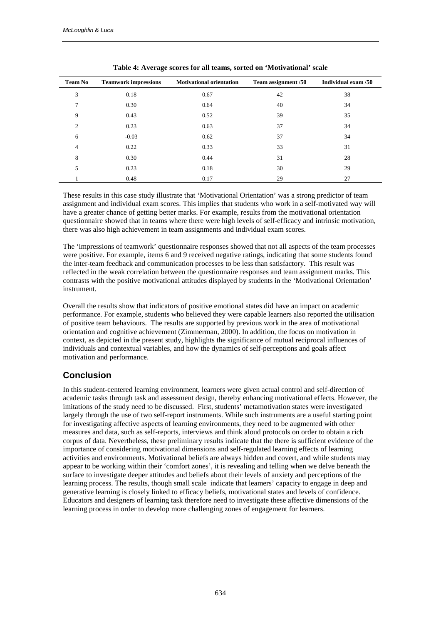| <b>Team No</b> | <b>Teamwork impressions</b> | <b>Motivational orientation</b> | Team assignment /50 | Individual exam /50 |
|----------------|-----------------------------|---------------------------------|---------------------|---------------------|
| 3              | 0.18                        | 0.67                            | 42                  | 38                  |
| $\mathcal{I}$  | 0.30                        | 0.64                            | 40                  | 34                  |
| 9              | 0.43                        | 0.52                            | 39                  | 35                  |
| $\overline{2}$ | 0.23                        | 0.63                            | 37                  | 34                  |
| 6              | $-0.03$                     | 0.62                            | 37                  | 34                  |
| 4              | 0.22                        | 0.33                            | 33                  | 31                  |
| 8              | 0.30                        | 0.44                            | 31                  | 28                  |
| 5              | 0.23                        | 0.18                            | 30                  | 29                  |
|                | 0.48                        | 0.17                            | 29                  | 27                  |

**Table 4: Average scores for all teams, sorted on 'Motivational' scale** 

These results in this case study illustrate that 'Motivational Orientation' was a strong predictor of team assignment and individual exam scores. This implies that students who work in a self-motivated way will have a greater chance of getting better marks. For example, results from the motivational orientation questionnaire showed that in teams where there were high levels of self-efficacy and intrinsic motivation, there was also high achievement in team assignments and individual exam scores.

The 'impressions of teamwork' questionnaire responses showed that not all aspects of the team processes were positive. For example, items 6 and 9 received negative ratings, indicating that some students found the inter-team feedback and communication processes to be less than satisfactory. This result was reflected in the weak correlation between the questionnaire responses and team assignment marks. This contrasts with the positive motivational attitudes displayed by students in the 'Motivational Orientation' instrument.

Overall the results show that indicators of positive emotional states did have an impact on academic performance. For example, students who believed they were capable learners also reported the utilisation of positive team behaviours. The results are supported by previous work in the area of motivational orientation and cognitive achievement (Zimmerman, 2000). In addition, the focus on motivation in context, as depicted in the present study, highlights the significance of mutual reciprocal influences of individuals and contextual variables, and how the dynamics of self-perceptions and goals affect motivation and performance.

### **Conclusion**

In this student-centered learning environment, learners were given actual control and self-direction of academic tasks through task and assessment design, thereby enhancing motivational effects. However, the imitations of the study need to be discussed. First, students' metamotivation states were investigated largely through the use of two self-report instruments. While such instruments are a useful starting point for investigating affective aspects of learning environments, they need to be augmented with other measures and data, such as self-reports, interviews and think aloud protocols on order to obtain a rich corpus of data. Nevertheless, these preliminary results indicate that the there is sufficient evidence of the importance of considering motivational dimensions and self-regulated learning effects of learning activities and environments. Motivational beliefs are always hidden and covert, and while students may appear to be working within their 'comfort zones', it is revealing and telling when we delve beneath the surface to investigate deeper attitudes and beliefs about their levels of anxiety and perceptions of the learning process. The results, though small scale indicate that leamers' capacity to engage in deep and generative learning is closely linked to efficacy beliefs, motivational states and levels of confidence. Educators and designers of learning task therefore need to investigate these affective dimensions of the learning process in order to develop more challenging zones of engagement for learners.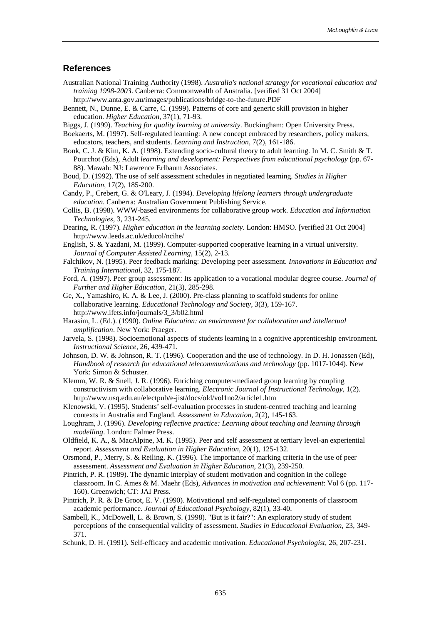#### **References**

- Australian National Training Authority (1998). *Australia's national strategy for vocational education and training 1998-2003*. Canberra: Commonwealth of Australia. [verified 31 Oct 2004] http://www.anta.gov.au/images/publications/bridge-to-the-future.PDF
- Bennett, N., Dunne, E. & Carre, C. (1999). Patterns of core and generic skill provision in higher education. *Higher Education,* 37(1), 71-93.
- Biggs, J. (1999). *Teaching for quality learning at university*. Buckingham: Open University Press.
- Boekaerts, M. (1997). Self-regulated learning: A new concept embraced by researchers, policy makers, educators, teachers, and students. *Learning and Instruction,* 7(2), 161-186.
- Bonk, C. J. & Kim, K. A. (1998). Extending socio-cultural theory to adult learning. In M. C. Smith & T. Pourchot (Eds), Adult *learning and development: Perspectives from educational psychology* (pp. 67- 88). Mawah: NJ: Lawrence Erlbaum Associates.
- Boud, D. (1992). The use of self assessment schedules in negotiated learning. *Studies in Higher Education,* 17(2), 185-200.
- Candy, P., Crebert, G. & O'Leary, J. (1994). *Developing lifelong learners through undergraduate education*. Canberra: Australian Government Publishing Service.
- Collis, B. (1998). WWW-based environments for collaborative group work. *Education and Information Technologies,* 3, 231-245.
- Dearing, R. (1997). *Higher education in the learning society*. London: HMSO. [verified 31 Oct 2004] http://www.leeds.ac.uk/educol/ncihe/
- English, S. & Yazdani, M. (1999). Computer-supported cooperative learning in a virtual university. *Journal of Computer Assisted Learning,* 15(2), 2-13.
- Falchikov, N. (1995). Peer feedback marking: Developing peer assessment. *Innovations in Education and Training International,* 32, 175-187.
- Ford, A. (1997). Peer group assessment: Its application to a vocational modular degree course. *Journal of Further and Higher Education,* 21(3), 285-298.
- Ge, X., Yamashiro, K. A. & Lee, J. (2000). Pre-class planning to scaffold students for online collaborative learning. *Educational Technology and Society,* 3(3), 159-167. http://www.ifets.info/journals/3\_3/b02.html
- Harasim, L. (Ed.). (1990). *Online Education: an environment for collaboration and intellectual amplification*. New York: Praeger.
- Jarvela, S. (1998). Socioemotional aspects of students learning in a cognitive apprenticeship environment. *Instructional Science,* 26, 439-471.
- Johnson, D. W. & Johnson, R. T. (1996). Cooperation and the use of technology. In D. H. Jonassen (Ed), *Handbook of research for educational telecommunications and technology* (pp. 1017-1044). New York: Simon & Schuster.
- Klemm, W. R. & Snell, J. R. (1996). Enriching computer-mediated group learning by coupling constructivism with collaborative learning. *Electronic Journal of Instructional Technology,* 1(2). http://www.usq.edu.au/electpub/e-jist/docs/old/vol1no2/article1.htm
- Klenowski, V. (1995). Students' self-evaluation processes in student-centred teaching and learning contexts in Australia and England. *Assessment in Education,* 2(2), 145-163.
- Loughram, J. (1996). *Developing reflective practice: Learning about teaching and learning through modelling*. London: Falmer Press.
- Oldfield, K. A., & MacAlpine, M. K. (1995). Peer and self assessment at tertiary level-an experiential report. *Assessment and Evaluation in Higher Education,* 20(1), 125-132.
- Orsmond, P., Merry, S. & Reiling, K. (1996). The importance of marking criteria in the use of peer assessment. *Assessment and Evaluation in Higher Education,* 21(3), 239-250.
- Pintrich, P. R. (1989). The dynamic interplay of student motivation and cognition in the college classroom. In C. Ames & M. Maehr (Eds), *Advances in motivation and achievement*: Vol 6 (pp. 117- 160). Greenwich; CT: JAI Press.
- Pintrich, P. R. & De Groot, E. V. (1990). Motivational and self-regulated components of classroom academic performance. *Journal of Educational Psychology*, 82(1), 33-40.
- Sambell, K., McDowell, L. & Brown, S. (1998). "But is it fair?": An exploratory study of student perceptions of the consequential validity of assessment. *Studies in Educational Evaluation,* 23, 349- 371.
- Schunk, D. H. (1991). Self-efficacy and academic motivation. *Educational Psychologist*, 26, 207-231.